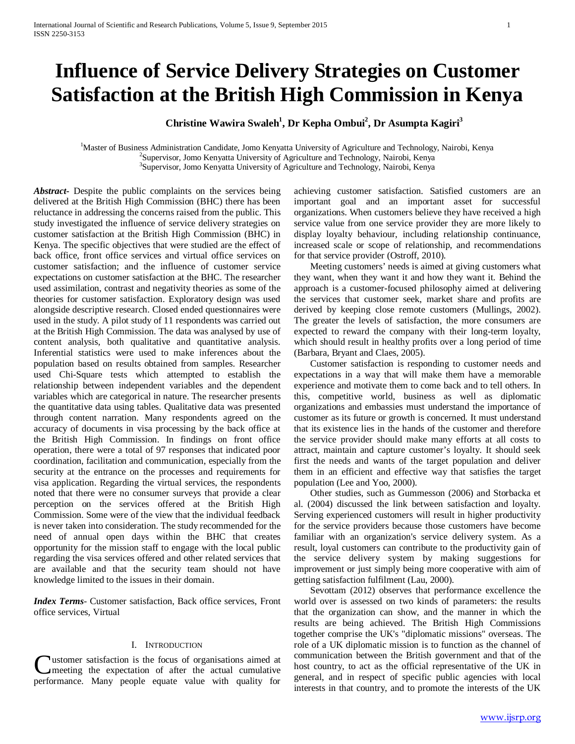# **Influence of Service Delivery Strategies on Customer Satisfaction at the British High Commission in Kenya**

# Christine Wawira Swaleh<sup>1</sup>, Dr Kepha Ombui<sup>2</sup>, Dr Asumpta Kagiri<sup>3</sup>

<sup>1</sup>Master of Business Administration Candidate, Jomo Kenyatta University of Agriculture and Technology, Nairobi, Kenya <sup>2</sup>Supervisor, Jomo Kenyatta University of Agriculture and Technology, Nairobi, Kenya <sup>3</sup>Supervisor, Jomo Kenyatta University of Agriculture and Technology, Nairobi, Kenya

*Abstract***-** Despite the public complaints on the services being delivered at the British High Commission (BHC) there has been reluctance in addressing the concerns raised from the public. This study investigated the influence of service delivery strategies on customer satisfaction at the British High Commission (BHC) in Kenya. The specific objectives that were studied are the effect of back office, front office services and virtual office services on customer satisfaction; and the influence of customer service expectations on customer satisfaction at the BHC. The researcher used assimilation, contrast and negativity theories as some of the theories for customer satisfaction. Exploratory design was used alongside descriptive research. Closed ended questionnaires were used in the study. A pilot study of 11 respondents was carried out at the British High Commission. The data was analysed by use of content analysis, both qualitative and quantitative analysis. Inferential statistics were used to make inferences about the population based on results obtained from samples. Researcher used Chi-Square tests which attempted to establish the relationship between independent variables and the dependent variables which are categorical in nature. The researcher presents the quantitative data using tables. Qualitative data was presented through content narration. Many respondents agreed on the accuracy of documents in visa processing by the back office at the British High Commission. In findings on front office operation, there were a total of 97 responses that indicated poor coordination, facilitation and communication, especially from the security at the entrance on the processes and requirements for visa application. Regarding the virtual services, the respondents noted that there were no consumer surveys that provide a clear perception on the services offered at the British High Commission. Some were of the view that the individual feedback is never taken into consideration. The study recommended for the need of annual open days within the BHC that creates opportunity for the mission staff to engage with the local public regarding the visa services offered and other related services that are available and that the security team should not have knowledge limited to the issues in their domain.

*Index Terms*- Customer satisfaction, Back office services, Front office services, Virtual

# I. INTRODUCTION

ustomer satisfaction is the focus of organisations aimed at meeting the expectation of after the actual cumulative **C**ustomer satisfaction is the focus of organisations aimed at meeting the expectation of after the actual cumulative performance. Many people equate value with quality for achieving customer satisfaction. Satisfied customers are an important goal and an important asset for successful organizations. When customers believe they have received a high service value from one service provider they are more likely to display loyalty behaviour, including relationship continuance, increased scale or scope of relationship, and recommendations for that service provider (Ostroff, 2010).

 Meeting customers' needs is aimed at giving customers what they want, when they want it and how they want it. Behind the approach is a customer-focused philosophy aimed at delivering the services that customer seek, market share and profits are derived by keeping close remote customers (Mullings, 2002). The greater the levels of satisfaction, the more consumers are expected to reward the company with their long-term loyalty, which should result in healthy profits over a long period of time (Barbara, Bryant and Claes, 2005).

 Customer satisfaction is responding to customer needs and expectations in a way that will make them have a memorable experience and motivate them to come back and to tell others. In this, competitive world, business as well as diplomatic organizations and embassies must understand the importance of customer as its future or growth is concerned. It must understand that its existence lies in the hands of the customer and therefore the service provider should make many efforts at all costs to attract, maintain and capture customer's loyalty. It should seek first the needs and wants of the target population and deliver them in an efficient and effective way that satisfies the target population (Lee and Yoo, 2000).

 Other studies, such as Gummesson (2006) and Storbacka et al. (2004) discussed the link between satisfaction and loyalty. Serving experienced customers will result in higher productivity for the service providers because those customers have become familiar with an organization's service delivery system. As a result, loyal customers can contribute to the productivity gain of the service delivery system by making suggestions for improvement or just simply being more cooperative with aim of getting satisfaction fulfilment (Lau, 2000).

 Sevottam (2012) observes that performance excellence the world over is assessed on two kinds of parameters: the results that the organization can show, and the manner in which the results are being achieved. The British High Commissions together comprise the UK's "diplomatic missions" overseas. The role of a UK diplomatic mission is to function as the channel of communication between the British government and that of the host country, to act as the official representative of the UK in general, and in respect of specific public agencies with local interests in that country, and to promote the interests of the UK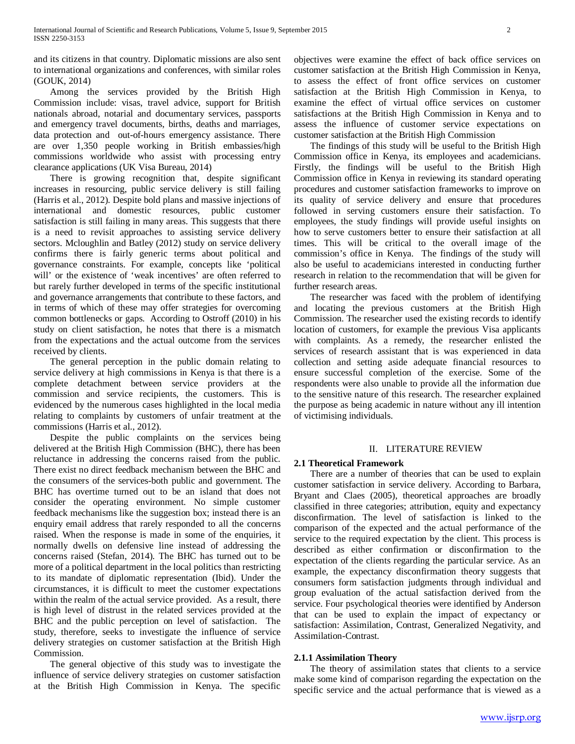and its citizens in that country. Diplomatic missions are also sent to international organizations and conferences, with similar roles (GOUK, 2014)

 Among the services provided by the British High Commission include: visas, travel advice, support for British nationals abroad, notarial and documentary services, passports and emergency travel documents, births, deaths and marriages, data protection and out-of-hours emergency assistance. There are over 1,350 people working in British embassies/high commissions worldwide who assist with processing entry clearance applications (UK Visa Bureau, 2014)

 There is growing recognition that, despite significant increases in resourcing, public service delivery is still failing (Harris et al., 2012). Despite bold plans and massive injections of international and domestic resources, public customer satisfaction is still failing in many areas. This suggests that there is a need to revisit approaches to assisting service delivery sectors. Mcloughlin and Batley (2012) study on service delivery confirms there is fairly generic terms about political and governance constraints. For example, concepts like 'political will' or the existence of 'weak incentives' are often referred to but rarely further developed in terms of the specific institutional and governance arrangements that contribute to these factors, and in terms of which of these may offer strategies for overcoming common bottlenecks or gaps. According to Ostroff (2010) in his study on client satisfaction, he notes that there is a mismatch from the expectations and the actual outcome from the services received by clients.

 The general perception in the public domain relating to service delivery at high commissions in Kenya is that there is a complete detachment between service providers at the commission and service recipients, the customers. This is evidenced by the numerous cases highlighted in the local media relating to complaints by customers of unfair treatment at the commissions (Harris et al., 2012).

 Despite the public complaints on the services being delivered at the British High Commission (BHC), there has been reluctance in addressing the concerns raised from the public. There exist no direct feedback mechanism between the BHC and the consumers of the services-both public and government. The BHC has overtime turned out to be an island that does not consider the operating environment. No simple customer feedback mechanisms like the suggestion box; instead there is an enquiry email address that rarely responded to all the concerns raised. When the response is made in some of the enquiries, it normally dwells on defensive line instead of addressing the concerns raised (Stefan, 2014). The BHC has turned out to be more of a political department in the local politics than restricting to its mandate of diplomatic representation (Ibid). Under the circumstances, it is difficult to meet the customer expectations within the realm of the actual service provided. As a result, there is high level of distrust in the related services provided at the BHC and the public perception on level of satisfaction. The study, therefore, seeks to investigate the influence of service delivery strategies on customer satisfaction at the British High Commission.

 The general objective of this study was to investigate the influence of service delivery strategies on customer satisfaction at the British High Commission in Kenya. The specific objectives were examine the effect of back office services on customer satisfaction at the British High Commission in Kenya, to assess the effect of front office services on customer satisfaction at the British High Commission in Kenya, to examine the effect of virtual office services on customer satisfactions at the British High Commission in Kenya and to assess the influence of customer service expectations on customer satisfaction at the British High Commission

 The findings of this study will be useful to the British High Commission office in Kenya, its employees and academicians. Firstly, the findings will be useful to the British High Commission office in Kenya in reviewing its standard operating procedures and customer satisfaction frameworks to improve on its quality of service delivery and ensure that procedures followed in serving customers ensure their satisfaction. To employees, the study findings will provide useful insights on how to serve customers better to ensure their satisfaction at all times. This will be critical to the overall image of the commission's office in Kenya. The findings of the study will also be useful to academicians interested in conducting further research in relation to the recommendation that will be given for further research areas.

 The researcher was faced with the problem of identifying and locating the previous customers at the British High Commission. The researcher used the existing records to identify location of customers, for example the previous Visa applicants with complaints. As a remedy, the researcher enlisted the services of research assistant that is was experienced in data collection and setting aside adequate financial resources to ensure successful completion of the exercise. Some of the respondents were also unable to provide all the information due to the sensitive nature of this research. The researcher explained the purpose as being academic in nature without any ill intention of victimising individuals.

# II. LITERATURE REVIEW

# **2.1 Theoretical Framework**

 There are a number of theories that can be used to explain customer satisfaction in service delivery. According to Barbara, Bryant and Claes (2005), theoretical approaches are broadly classified in three categories; attribution, equity and expectancy disconfirmation. The level of satisfaction is linked to the comparison of the expected and the actual performance of the service to the required expectation by the client. This process is described as either confirmation or disconfirmation to the expectation of the clients regarding the particular service. As an example, the expectancy disconfirmation theory suggests that consumers form satisfaction judgments through individual and group evaluation of the actual satisfaction derived from the service. Four psychological theories were identified by Anderson that can be used to explain the impact of expectancy or satisfaction: Assimilation, Contrast, Generalized Negativity, and Assimilation-Contrast.

# **2.1.1 Assimilation Theory**

 The theory of assimilation states that clients to a service make some kind of comparison regarding the expectation on the specific service and the actual performance that is viewed as a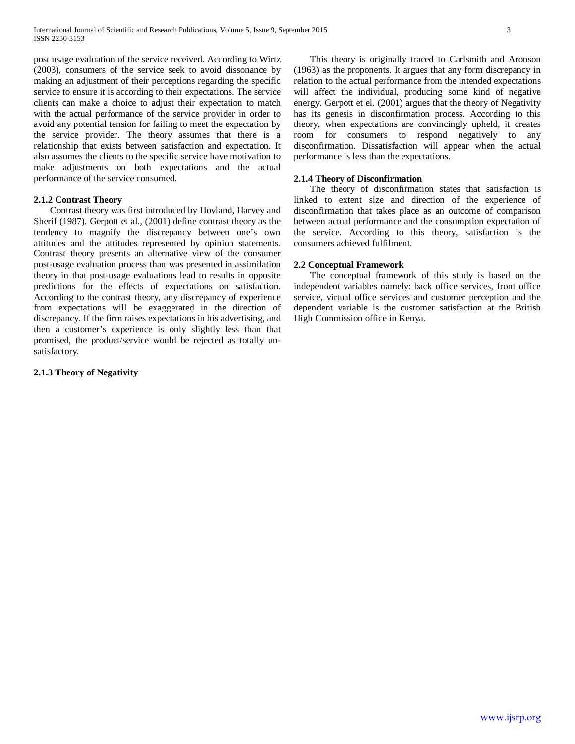post usage evaluation of the service received. According to Wirtz (2003), consumers of the service seek to avoid dissonance by making an adjustment of their perceptions regarding the specific service to ensure it is according to their expectations. The service clients can make a choice to adjust their expectation to match with the actual performance of the service provider in order to avoid any potential tension for failing to meet the expectation by the service provider. The theory assumes that there is a relationship that exists between satisfaction and expectation. It also assumes the clients to the specific service have motivation to make adjustments on both expectations and the actual performance of the service consumed.

#### **2.1.2 Contrast Theory**

 Contrast theory was first introduced by Hovland, Harvey and Sherif (1987). Gerpott et al., (2001) define contrast theory as the tendency to magnify the discrepancy between one's own attitudes and the attitudes represented by opinion statements. Contrast theory presents an alternative view of the consumer post-usage evaluation process than was presented in assimilation theory in that post-usage evaluations lead to results in opposite predictions for the effects of expectations on satisfaction. According to the contrast theory, any discrepancy of experience from expectations will be exaggerated in the direction of discrepancy. If the firm raises expectations in his advertising, and then a customer's experience is only slightly less than that promised, the product/service would be rejected as totally unsatisfactory.

# **2.1.3 Theory of Negativity**

 This theory is originally traced to Carlsmith and Aronson (1963) as the proponents. It argues that any form discrepancy in relation to the actual performance from the intended expectations will affect the individual, producing some kind of negative energy. Gerpott et el. (2001) argues that the theory of Negativity has its genesis in disconfirmation process. According to this theory, when expectations are convincingly upheld, it creates room for consumers to respond negatively to any disconfirmation. Dissatisfaction will appear when the actual performance is less than the expectations.

## **2.1.4 Theory of Disconfirmation**

 The theory of disconfirmation states that satisfaction is linked to extent size and direction of the experience of disconfirmation that takes place as an outcome of comparison between actual performance and the consumption expectation of the service. According to this theory, satisfaction is the consumers achieved fulfilment.

### **2.2 Conceptual Framework**

 The conceptual framework of this study is based on the independent variables namely: back office services, front office service, virtual office services and customer perception and the dependent variable is the customer satisfaction at the British High Commission office in Kenya.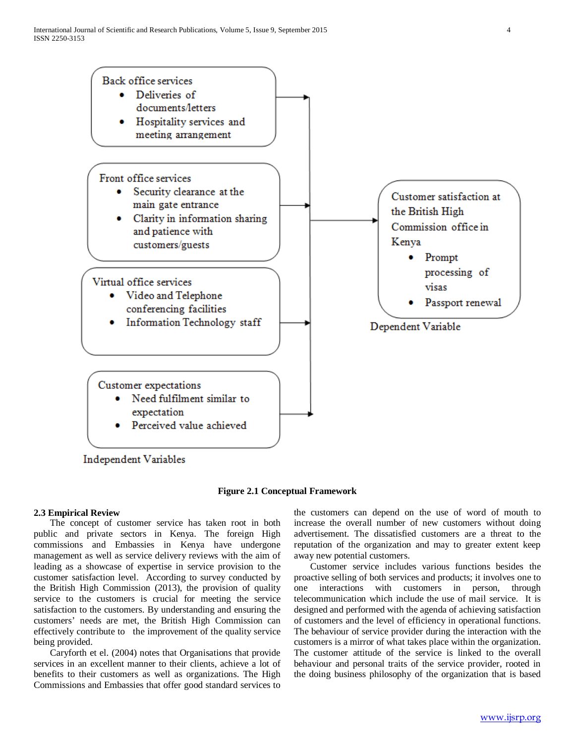

**Figure 2.1 Conceptual Framework**

# **2.3 Empirical Review**

 The concept of customer service has taken root in both public and private sectors in Kenya. The foreign High commissions and Embassies in Kenya have undergone management as well as service delivery reviews with the aim of leading as a showcase of expertise in service provision to the customer satisfaction level. According to survey conducted by the British High Commission (2013), the provision of quality service to the customers is crucial for meeting the service satisfaction to the customers. By understanding and ensuring the customers' needs are met, the British High Commission can effectively contribute to the improvement of the quality service being provided.

 Caryforth et el. (2004) notes that Organisations that provide services in an excellent manner to their clients, achieve a lot of benefits to their customers as well as organizations. The High Commissions and Embassies that offer good standard services to

the customers can depend on the use of word of mouth to increase the overall number of new customers without doing advertisement. The dissatisfied customers are a threat to the reputation of the organization and may to greater extent keep away new potential customers.

 Customer service includes various functions besides the proactive selling of both services and products; it involves one to one interactions with customers in person, through telecommunication which include the use of mail service. It is designed and performed with the agenda of achieving satisfaction of customers and the level of efficiency in operational functions. The behaviour of service provider during the interaction with the customers is a mirror of what takes place within the organization. The customer attitude of the service is linked to the overall behaviour and personal traits of the service provider, rooted in the doing business philosophy of the organization that is based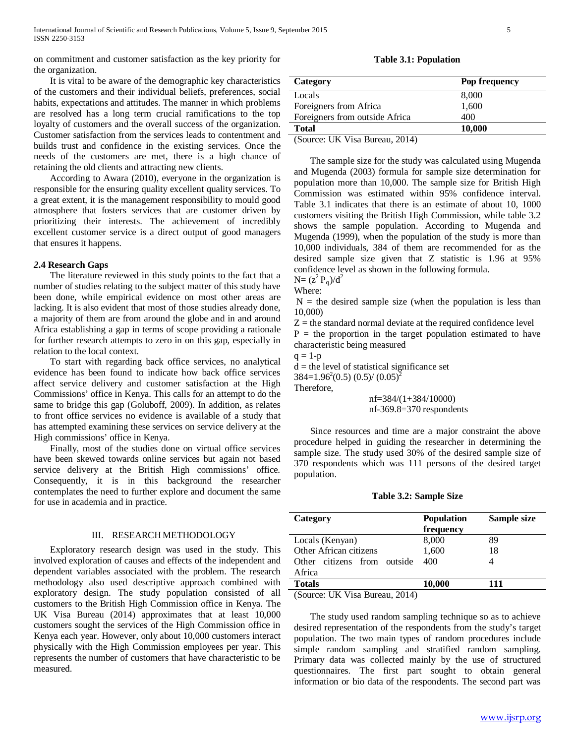on commitment and customer satisfaction as the key priority for the organization.

 It is vital to be aware of the demographic key characteristics of the customers and their individual beliefs, preferences, social habits, expectations and attitudes. The manner in which problems are resolved has a long term crucial ramifications to the top loyalty of customers and the overall success of the organization. Customer satisfaction from the services leads to contentment and builds trust and confidence in the existing services. Once the needs of the customers are met, there is a high chance of retaining the old clients and attracting new clients.

 According to Awara (2010), everyone in the organization is responsible for the ensuring quality excellent quality services. To a great extent, it is the management responsibility to mould good atmosphere that fosters services that are customer driven by prioritizing their interests. The achievement of incredibly excellent customer service is a direct output of good managers that ensures it happens.

#### *2***.4 Research Gaps**

 The literature reviewed in this study points to the fact that a number of studies relating to the subject matter of this study have been done, while empirical evidence on most other areas are lacking. It is also evident that most of those studies already done, a majority of them are from around the globe and in and around Africa establishing a gap in terms of scope providing a rationale for further research attempts to zero in on this gap, especially in relation to the local context.

 To start with regarding back office services, no analytical evidence has been found to indicate how back office services affect service delivery and customer satisfaction at the High Commissions' office in Kenya. This calls for an attempt to do the same to bridge this gap (Goluboff, 2009). In addition, as relates to front office services no evidence is available of a study that has attempted examining these services on service delivery at the High commissions' office in Kenya.

 Finally, most of the studies done on virtual office services have been skewed towards online services but again not based service delivery at the British High commissions' office. Consequently, it is in this background the researcher contemplates the need to further explore and document the same for use in academia and in practice.

#### III. RESEARCH METHODOLOGY

 Exploratory research design was used in the study. This involved exploration of causes and effects of the independent and dependent variables associated with the problem. The research methodology also used descriptive approach combined with exploratory design. The study population consisted of all customers to the British High Commission office in Kenya. The UK Visa Bureau (2014) approximates that at least 10,000 customers sought the services of the High Commission office in Kenya each year. However, only about 10,000 customers interact physically with the High Commission employees per year. This represents the number of customers that have characteristic to be measured.

**Table 3.1: Population**

| Category                       | Pop frequency |
|--------------------------------|---------------|
| Locals                         | 8,000         |
| Foreigners from Africa         | 1,600         |
| Foreigners from outside Africa | 400           |
| <b>Total</b>                   | 10,000        |
|                                |               |

(Source: UK Visa Bureau, 2014)

 The sample size for the study was calculated using Mugenda and Mugenda (2003) formula for sample size determination for population more than 10,000. The sample size for British High Commission was estimated within 95% confidence interval. Table 3.1 indicates that there is an estimate of about 10, 1000 customers visiting the British High Commission, while table 3.2 shows the sample population. According to Mugenda and Mugenda (1999), when the population of the study is more than 10,000 individuals, 384 of them are recommended for as the desired sample size given that Z statistic is 1.96 at 95% confidence level as shown in the following formula.

 $N=(z^2 P_q)/d^2$ Where:

 $N =$  the desired sample size (when the population is less than 10,000)

 $Z =$  the standard normal deviate at the required confidence level  $P =$  the proportion in the target population estimated to have characteristic being measured

 $q = 1-p$ 

 $d =$  the level of statistical significance set

 $384=1.96^2(0.5)$   $(0.5)/(0.05)^2$ 

Therefore,

 nf=384/(1+384/10000) nf-369.8=370 respondents

 Since resources and time are a major constraint the above procedure helped in guiding the researcher in determining the sample size. The study used 30% of the desired sample size of 370 respondents which was 111 persons of the desired target population.

#### **Table 3.2: Sample Size**

| Category                    | Sample size<br><b>Population</b><br>frequency |     |  |  |  |  |
|-----------------------------|-----------------------------------------------|-----|--|--|--|--|
| Locals (Kenyan)             | 8,000                                         | 89  |  |  |  |  |
| Other African citizens      | 1,600                                         | 18  |  |  |  |  |
| Other citizens from outside | 400                                           |     |  |  |  |  |
| Africa                      |                                               |     |  |  |  |  |
| <b>Totals</b>               | 10,000                                        | 111 |  |  |  |  |

(Source: UK Visa Bureau, 2014)

 The study used random sampling technique so as to achieve desired representation of the respondents from the study's target population. The two main types of random procedures include simple random sampling and stratified random sampling. Primary data was collected mainly by the use of structured questionnaires. The first part sought to obtain general information or bio data of the respondents. The second part was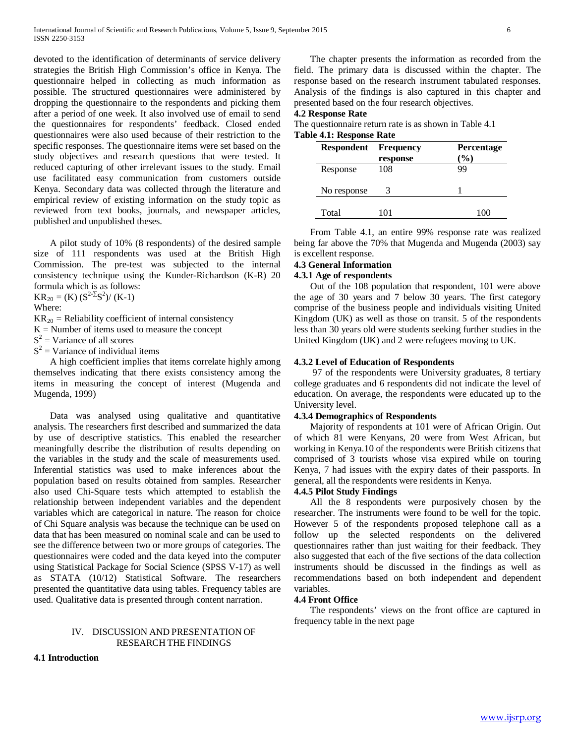devoted to the identification of determinants of service delivery strategies the British High Commission's office in Kenya. The questionnaire helped in collecting as much information as possible. The structured questionnaires were administered by dropping the questionnaire to the respondents and picking them after a period of one week. It also involved use of email to send the questionnaires for respondents' feedback. Closed ended questionnaires were also used because of their restriction to the specific responses. The questionnaire items were set based on the study objectives and research questions that were tested. It reduced capturing of other irrelevant issues to the study. Email use facilitated easy communication from customers outside Kenya. Secondary data was collected through the literature and empirical review of existing information on the study topic as reviewed from text books, journals, and newspaper articles, published and unpublished theses.

 A pilot study of 10% (8 respondents) of the desired sample size of 111 respondents was used at the British High Commission. The pre-test was subjected to the internal consistency technique using the Kunder-Richardson (K-R) 20 formula which is as follows:

 $KR_{20} = (K) (S^{2-\Sigma}S^2)/(K-1)$ 

Where:

 $KR_{20}$  = Reliability coefficient of internal consistency

 $K =$  Number of items used to measure the concept

 $S<sup>2</sup>$  = Variance of all scores

 $S<sup>2</sup>$  = Variance of individual items

 A high coefficient implies that items correlate highly among themselves indicating that there exists consistency among the items in measuring the concept of interest (Mugenda and Mugenda, 1999)

 Data was analysed using qualitative and quantitative analysis. The researchers first described and summarized the data by use of descriptive statistics. This enabled the researcher meaningfully describe the distribution of results depending on the variables in the study and the scale of measurements used. Inferential statistics was used to make inferences about the population based on results obtained from samples. Researcher also used Chi-Square tests which attempted to establish the relationship between independent variables and the dependent variables which are categorical in nature. The reason for choice of Chi Square analysis was because the technique can be used on data that has been measured on nominal scale and can be used to see the difference between two or more groups of categories. The questionnaires were coded and the data keyed into the computer using Statistical Package for Social Science (SPSS V-17) as well as STATA (10/12) Statistical Software. The researchers presented the quantitative data using tables. Frequency tables are used. Qualitative data is presented through content narration.

# IV. DISCUSSION AND PRESENTATION OF RESEARCH THE FINDINGS

# **4.1 Introduction**

 The chapter presents the information as recorded from the field. The primary data is discussed within the chapter. The response based on the research instrument tabulated responses. Analysis of the findings is also captured in this chapter and presented based on the four research objectives.

### **4.2 Response Rate**

The questionnaire return rate is as shown in Table 4.1 **Table 4.1: Response Rate**

| <b>Respondent</b> | Frequency<br>response | <b>Percentage</b><br>$\frac{9}{6}$ |
|-------------------|-----------------------|------------------------------------|
| Response          | 108                   | 99                                 |
| No response       |                       |                                    |
| Total             | 101                   | 100                                |

 From Table 4.1, an entire 99% response rate was realized being far above the 70% that Mugenda and Mugenda (2003) say is excellent response.

# **4.3 General Information**

#### **4.3.1 Age of respondents**

 Out of the 108 population that respondent, 101 were above the age of 30 years and 7 below 30 years. The first category comprise of the business people and individuals visiting United Kingdom (UK) as well as those on transit. 5 of the respondents less than 30 years old were students seeking further studies in the United Kingdom (UK) and 2 were refugees moving to UK.

#### **4.3.2 Level of Education of Respondents**

 97 of the respondents were University graduates, 8 tertiary college graduates and 6 respondents did not indicate the level of education. On average, the respondents were educated up to the University level.

#### **4.3.4 Demographics of Respondents**

 Majority of respondents at 101 were of African Origin. Out of which 81 were Kenyans, 20 were from West African, but working in Kenya.10 of the respondents were British citizens that comprised of 3 tourists whose visa expired while on touring Kenya, 7 had issues with the expiry dates of their passports. In general, all the respondents were residents in Kenya.

# **4.4.5 Pilot Study Findings**

 All the 8 respondents were purposively chosen by the researcher. The instruments were found to be well for the topic. However 5 of the respondents proposed telephone call as a follow up the selected respondents on the delivered questionnaires rather than just waiting for their feedback. They also suggested that each of the five sections of the data collection instruments should be discussed in the findings as well as recommendations based on both independent and dependent variables.

# **4.4 Front Office**

 The respondents' views on the front office are captured in frequency table in the next page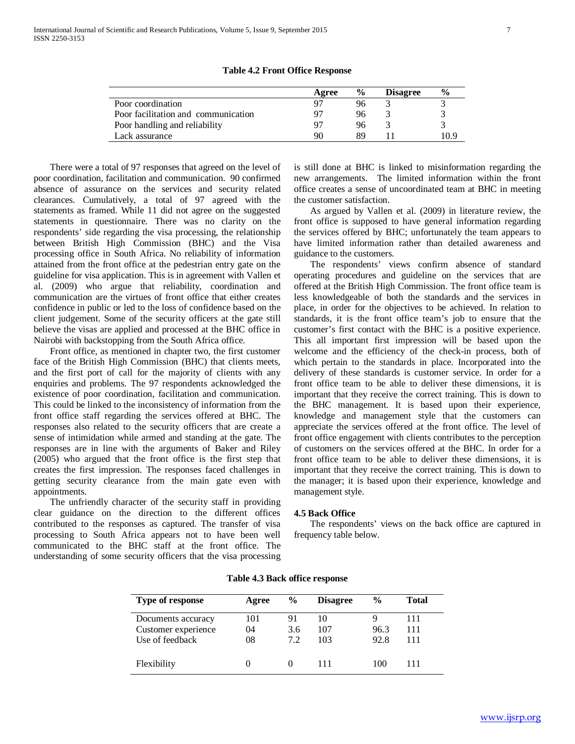|                                     | Agree | $\frac{6}{9}$ | <b>Disagree</b> | $\frac{6}{9}$ |
|-------------------------------------|-------|---------------|-----------------|---------------|
| Poor coordination                   |       | 96            |                 |               |
| Poor facilitation and communication |       | 96            |                 |               |
| Poor handling and reliability       |       | 96            |                 |               |
| Lack assurance                      | 90    | 89            |                 | 10.9          |
|                                     |       |               |                 |               |

**Table 4.2 Front Office Response**

 There were a total of 97 responses that agreed on the level of poor coordination, facilitation and communication. 90 confirmed absence of assurance on the services and security related clearances. Cumulatively, a total of 97 agreed with the statements as framed. While 11 did not agree on the suggested statements in questionnaire. There was no clarity on the respondents' side regarding the visa processing, the relationship between British High Commission (BHC) and the Visa processing office in South Africa. No reliability of information attained from the front office at the pedestrian entry gate on the guideline for visa application. This is in agreement with Vallen et al. (2009) who argue that reliability, coordination and communication are the virtues of front office that either creates confidence in public or led to the loss of confidence based on the client judgement. Some of the security officers at the gate still believe the visas are applied and processed at the BHC office in Nairobi with backstopping from the South Africa office.

 Front office, as mentioned in chapter two, the first customer face of the British High Commission (BHC) that clients meets, and the first port of call for the majority of clients with any enquiries and problems. The 97 respondents acknowledged the existence of poor coordination, facilitation and communication. This could be linked to the inconsistency of information from the front office staff regarding the services offered at BHC. The responses also related to the security officers that are create a sense of intimidation while armed and standing at the gate. The responses are in line with the arguments of Baker and Riley (2005) who argued that the front office is the first step that creates the first impression. The responses faced challenges in getting security clearance from the main gate even with appointments.

 The unfriendly character of the security staff in providing clear guidance on the direction to the different offices contributed to the responses as captured. The transfer of visa processing to South Africa appears not to have been well communicated to the BHC staff at the front office. The understanding of some security officers that the visa processing is still done at BHC is linked to misinformation regarding the new arrangements. The limited information within the front office creates a sense of uncoordinated team at BHC in meeting the customer satisfaction.

 As argued by Vallen et al. (2009) in literature review, the front office is supposed to have general information regarding the services offered by BHC; unfortunately the team appears to have limited information rather than detailed awareness and guidance to the customers.

 The respondents' views confirm absence of standard operating procedures and guideline on the services that are offered at the British High Commission. The front office team is less knowledgeable of both the standards and the services in place, in order for the objectives to be achieved. In relation to standards, it is the front office team's job to ensure that the customer's first contact with the BHC is a positive experience. This all important first impression will be based upon the welcome and the efficiency of the check-in process, both of which pertain to the standards in place. Incorporated into the delivery of these standards is customer service. In order for a front office team to be able to deliver these dimensions, it is important that they receive the correct training. This is down to the BHC management. It is based upon their experience, knowledge and management style that the customers can appreciate the services offered at the front office. The level of front office engagement with clients contributes to the perception of customers on the services offered at the BHC. In order for a front office team to be able to deliver these dimensions, it is important that they receive the correct training. This is down to the manager; it is based upon their experience, knowledge and management style.

#### **4.5 Back Office**

 The respondents' views on the back office are captured in frequency table below.

| Type of response    | Agree | $\frac{6}{9}$ | <b>Disagree</b> | $\frac{0}{0}$ | <b>Total</b> |
|---------------------|-------|---------------|-----------------|---------------|--------------|
| Documents accuracy  | 101   | 91            | 10              |               | 111          |
| Customer experience | 04    | 3.6           | 107             | 96.3          | 111          |
| Use of feedback     | 08    | 7.2           | 103             | 92.8          | 111          |
| Flexibility         |       |               | 111             | 100           | 111          |

**Table 4.3 Back office response**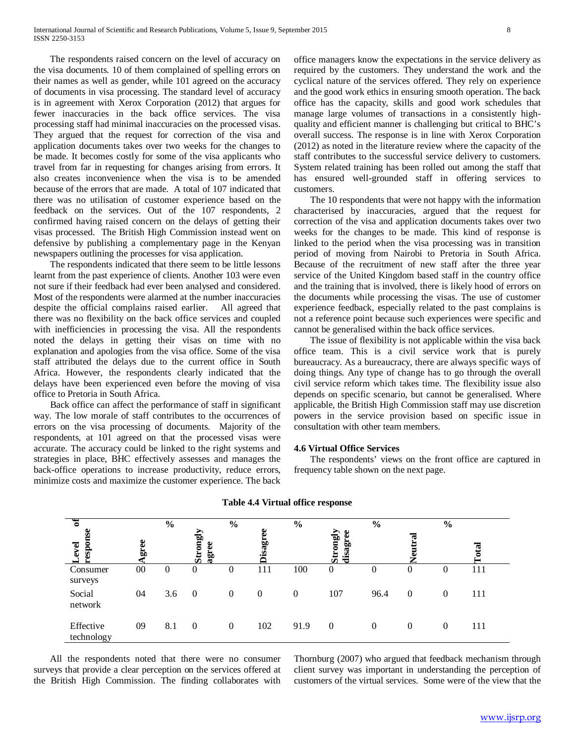The respondents raised concern on the level of accuracy on the visa documents. 10 of them complained of spelling errors on their names as well as gender, while 101 agreed on the accuracy of documents in visa processing. The standard level of accuracy is in agreement with Xerox Corporation (2012) that argues for fewer inaccuracies in the back office services. The visa processing staff had minimal inaccuracies on the processed visas. They argued that the request for correction of the visa and application documents takes over two weeks for the changes to be made. It becomes costly for some of the visa applicants who travel from far in requesting for changes arising from errors. It also creates inconvenience when the visa is to be amended because of the errors that are made. A total of 107 indicated that there was no utilisation of customer experience based on the feedback on the services. Out of the 107 respondents, 2 confirmed having raised concern on the delays of getting their visas processed. The British High Commission instead went on defensive by publishing a complementary page in the Kenyan newspapers outlining the processes for visa application.

 The respondents indicated that there seem to be little lessons learnt from the past experience of clients. Another 103 were even not sure if their feedback had ever been analysed and considered. Most of the respondents were alarmed at the number inaccuracies despite the official complains raised earlier. All agreed that there was no flexibility on the back office services and coupled with inefficiencies in processing the visa. All the respondents noted the delays in getting their visas on time with no explanation and apologies from the visa office. Some of the visa staff attributed the delays due to the current office in South Africa. However, the respondents clearly indicated that the delays have been experienced even before the moving of visa office to Pretoria in South Africa.

 Back office can affect the performance of staff in significant way. The low morale of staff contributes to the occurrences of errors on the visa processing of documents. Majority of the respondents, at 101 agreed on that the processed visas were accurate. The accuracy could be linked to the right systems and strategies in place, BHC effectively assesses and manages the back-office operations to increase productivity, reduce errors, minimize costs and maximize the customer experience. The back office managers know the expectations in the service delivery as required by the customers. They understand the work and the cyclical nature of the services offered. They rely on experience and the good work ethics in ensuring smooth operation. The back office has the capacity, skills and good work schedules that manage large volumes of transactions in a consistently highquality and efficient manner is challenging but critical to BHC's overall success. The response is in line with Xerox Corporation (2012) as noted in the literature review where the capacity of the staff contributes to the successful service delivery to customers. System related training has been rolled out among the staff that has ensured well-grounded staff in offering services to customers.

 The 10 respondents that were not happy with the information characterised by inaccuracies, argued that the request for correction of the visa and application documents takes over two weeks for the changes to be made. This kind of response is linked to the period when the visa processing was in transition period of moving from Nairobi to Pretoria in South Africa. Because of the recruitment of new staff after the three year service of the United Kingdom based staff in the country office and the training that is involved, there is likely hood of errors on the documents while processing the visas. The use of customer experience feedback, especially related to the past complains is not a reference point because such experiences were specific and cannot be generalised within the back office services.

 The issue of flexibility is not applicable within the visa back office team. This is a civil service work that is purely bureaucracy. As a bureaucracy, there are always specific ways of doing things. Any type of change has to go through the overall civil service reform which takes time. The flexibility issue also depends on specific scenario, but cannot be generalised. Where applicable, the British High Commission staff may use discretion powers in the service provision based on specific issue in consultation with other team members.

#### **4.6 Virtual Office Services**

 The respondents' views on the front office are captured in frequency table shown on the next page.

| ठ                       |      | $\frac{6}{6}$ |                          | $\frac{6}{10}$ |                | $\frac{6}{10}$ |                          | $\frac{6}{6}$ |                | $\frac{6}{6}$ |                         |
|-------------------------|------|---------------|--------------------------|----------------|----------------|----------------|--------------------------|---------------|----------------|---------------|-------------------------|
| onse<br>evel<br>esp     | gree |               | ⋗<br>Strongl<br>æ<br>agr |                | ω<br>sag       |                | rongly<br>disagree<br>Ò. |               | E<br>Veutr     |               | $\overline{\mathbf{a}}$ |
| Consumer<br>surveys     | 00   | 0             | $\overline{0}$           | 0              | 111            | 100            | $\mathbf{0}$             | $\theta$      | $\overline{0}$ | 0             | 111                     |
| Social<br>network       | 04   | 3.6           | $\theta$                 | $\Omega$       | $\overline{0}$ | $\Omega$       | 107                      | 96.4          | $\overline{0}$ | $\theta$      | 111                     |
| Effective<br>technology | 09   | 8.1           | $\theta$                 | $\theta$       | 102            | 91.9           | $\theta$                 | $\mathbf{0}$  | 0              | $\theta$      | 111                     |

#### **Table 4.4 Virtual office response**

 All the respondents noted that there were no consumer surveys that provide a clear perception on the services offered at the British High Commission. The finding collaborates with Thornburg (2007) who argued that feedback mechanism through client survey was important in understanding the perception of customers of the virtual services. Some were of the view that the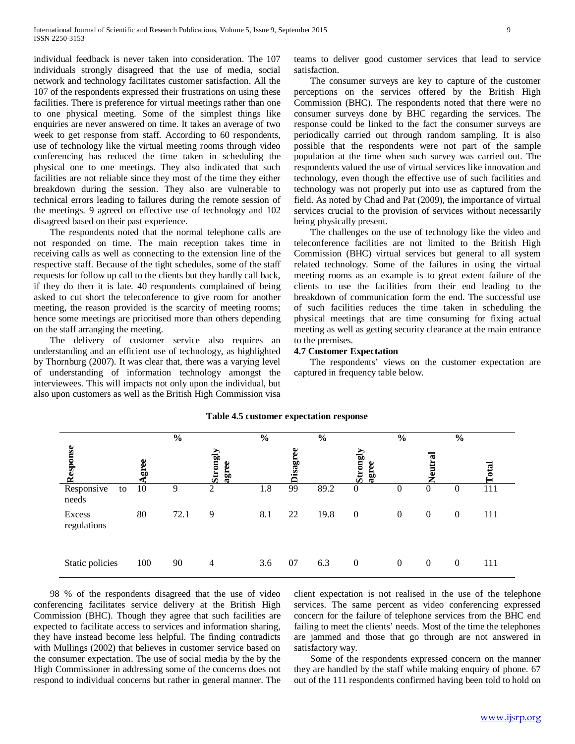individual feedback is never taken into consideration. The 107 individuals strongly disagreed that the use of media, social network and technology facilitates customer satisfaction. All the 107 of the respondents expressed their frustrations on using these facilities. There is preference for virtual meetings rather than one to one physical meeting. Some of the simplest things like enquiries are never answered on time. It takes an average of two week to get response from staff. According to 60 respondents, use of technology like the virtual meeting rooms through video conferencing has reduced the time taken in scheduling the physical one to one meetings. They also indicated that such facilities are not reliable since they most of the time they either breakdown during the session. They also are vulnerable to technical errors leading to failures during the remote session of the meetings. 9 agreed on effective use of technology and 102 disagreed based on their past experience.

 The respondents noted that the normal telephone calls are not responded on time. The main reception takes time in receiving calls as well as connecting to the extension line of the respective staff. Because of the tight schedules, some of the staff requests for follow up call to the clients but they hardly call back, if they do then it is late. 40 respondents complained of being asked to cut short the teleconference to give room for another meeting, the reason provided is the scarcity of meeting rooms; hence some meetings are prioritised more than others depending on the staff arranging the meeting.

 The delivery of customer service also requires an understanding and an efficient use of technology, as highlighted by Thornburg (2007). It was clear that, there was a varying level of understanding of information technology amongst the interviewees. This will impacts not only upon the individual, but also upon customers as well as the British High Commission visa teams to deliver good customer services that lead to service satisfaction.

 The consumer surveys are key to capture of the customer perceptions on the services offered by the British High Commission (BHC). The respondents noted that there were no consumer surveys done by BHC regarding the services. The response could be linked to the fact the consumer surveys are periodically carried out through random sampling. It is also possible that the respondents were not part of the sample population at the time when such survey was carried out. The respondents valued the use of virtual services like innovation and technology, even though the effective use of such facilities and technology was not properly put into use as captured from the field. As noted by Chad and Pat (2009), the importance of virtual services crucial to the provision of services without necessarily being physically present.

 The challenges on the use of technology like the video and teleconference facilities are not limited to the British High Commission (BHC) virtual services but general to all system related technology. Some of the failures in using the virtual meeting rooms as an example is to great extent failure of the clients to use the facilities from their end leading to the breakdown of communication form the end. The successful use of such facilities reduces the time taken in scheduling the physical meetings that are time consuming for fixing actual meeting as well as getting security clearance at the main entrance to the premises.

# **4.7 Customer Expectation**

 The respondents' views on the customer expectation are captured in frequency table below.

|                           |      | $\frac{6}{6}$ |                   | $\frac{6}{10}$ |                 | $\frac{0}{0}$ |                   | $\frac{0}{0}$    |                  | $\frac{6}{6}$    |     |
|---------------------------|------|---------------|-------------------|----------------|-----------------|---------------|-------------------|------------------|------------------|------------------|-----|
| Response                  | gree |               | Strongly<br>agree |                | <b>Disagree</b> |               | Strongly<br>agree |                  | tral<br>Ē        |                  | 豆   |
| Responsive<br>to<br>needs | 10   | 9             | 2                 | 1.8            | 99              | 89.2          | $\boldsymbol{0}$  | $\mathbf{0}$     | $\theta$         | $\theta$         | 111 |
| Excess<br>regulations     | 80   | 72.1          | 9                 | 8.1            | 22              | 19.8          | $\overline{0}$    | $\boldsymbol{0}$ | $\overline{0}$   | $\boldsymbol{0}$ | 111 |
| Static policies           | 100  | 90            | $\overline{4}$    | 3.6            | 07              | 6.3           | $\mathbf{0}$      | $\boldsymbol{0}$ | $\boldsymbol{0}$ | $\boldsymbol{0}$ | 111 |

#### **Table 4.5 customer expectation response**

 98 % of the respondents disagreed that the use of video conferencing facilitates service delivery at the British High Commission (BHC). Though they agree that such facilities are expected to facilitate access to services and information sharing, they have instead become less helpful. The finding contradicts with Mullings (2002) that believes in customer service based on the consumer expectation. The use of social media by the by the High Commissioner in addressing some of the concerns does not respond to individual concerns but rather in general manner. The client expectation is not realised in the use of the telephone services. The same percent as video conferencing expressed concern for the failure of telephone services from the BHC end failing to meet the clients' needs. Most of the time the telephones are jammed and those that go through are not answered in satisfactory way.

 Some of the respondents expressed concern on the manner they are handled by the staff while making enquiry of phone. 67 out of the 111 respondents confirmed having been told to hold on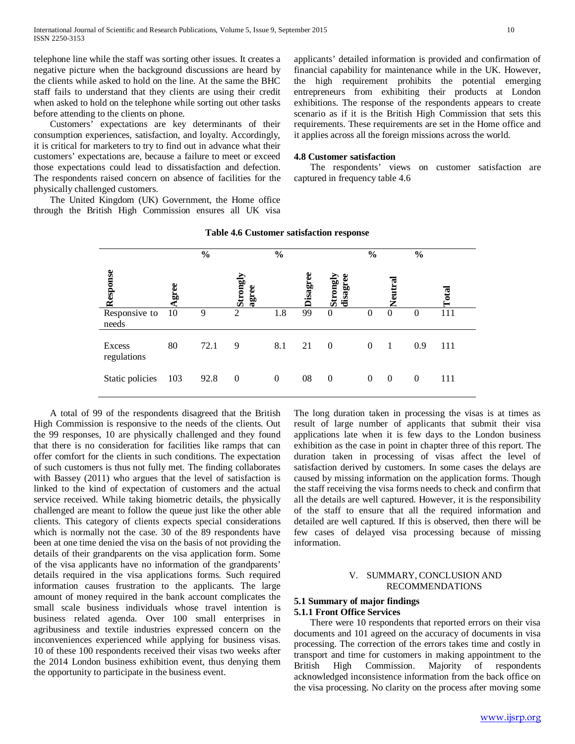telephone line while the staff was sorting other issues. It creates a negative picture when the background discussions are heard by the clients while asked to hold on the line. At the same the BHC staff fails to understand that they clients are using their credit when asked to hold on the telephone while sorting out other tasks before attending to the clients on phone.

 Customers' expectations are key determinants of their consumption experiences, satisfaction, and loyalty. Accordingly, it is critical for marketers to try to find out in advance what their customers' expectations are, because a failure to meet or exceed those expectations could lead to dissatisfaction and defection. The respondents raised concern on absence of facilities for the physically challenged customers.

 The United Kingdom (UK) Government, the Home office through the British High Commission ensures all UK visa applicants' detailed information is provided and confirmation of financial capability for maintenance while in the UK. However, the high requirement prohibits the potential emerging entrepreneurs from exhibiting their products at London exhibitions. The response of the respondents appears to create scenario as if it is the British High Commission that sets this requirements. These requirements are set in the Home office and it applies across all the foreign missions across the world.

#### **4.8 Customer satisfaction**

 The respondents' views on customer satisfaction are captured in frequency table 4.6

|                              |      | $\frac{0}{0}$ |                   | $\frac{0}{0}$ |          |                    | $\frac{0}{0}$ |                | $\frac{0}{0}$ |              |
|------------------------------|------|---------------|-------------------|---------------|----------|--------------------|---------------|----------------|---------------|--------------|
| Response                     | gree |               | Strongly<br>agree |               | Disagree | Strong!<br>disagro |               | Veutral        |               | <b>Total</b> |
| Responsive to<br>needs       | 10   | 9             | 2                 | 1.8           | 99       | $\mathbf{0}$       | 0             | $\theta$       | $\Omega$      | 111          |
| <b>Excess</b><br>regulations | 80   | 72.1          | 9                 | 8.1           | 21       | $\overline{0}$     | $\mathbf{0}$  | $\overline{1}$ | 0.9           | 111          |
| Static policies              | 103  | 92.8          | $\boldsymbol{0}$  | $\theta$      | 08       | $\theta$           | $\mathbf{0}$  | $\theta$       | $\theta$      | 111          |

#### **Table 4.6 Customer satisfaction response**

 A total of 99 of the respondents disagreed that the British High Commission is responsive to the needs of the clients. Out the 99 responses, 10 are physically challenged and they found that there is no consideration for facilities like ramps that can offer comfort for the clients in such conditions. The expectation of such customers is thus not fully met. The finding collaborates with Bassey (2011) who argues that the level of satisfaction is linked to the kind of expectation of customers and the actual service received. While taking biometric details, the physically challenged are meant to follow the queue just like the other able clients. This category of clients expects special considerations which is normally not the case. 30 of the 89 respondents have been at one time denied the visa on the basis of not providing the details of their grandparents on the visa application form. Some of the visa applicants have no information of the grandparents' details required in the visa applications forms. Such required information causes frustration to the applicants. The large amount of money required in the bank account complicates the small scale business individuals whose travel intention is business related agenda. Over 100 small enterprises in agribusiness and textile industries expressed concern on the inconveniences experienced while applying for business visas. 10 of these 100 respondents received their visas two weeks after the 2014 London business exhibition event, thus denying them the opportunity to participate in the business event.

The long duration taken in processing the visas is at times as result of large number of applicants that submit their visa applications late when it is few days to the London business exhibition as the case in point in chapter three of this report. The duration taken in processing of visas affect the level of satisfaction derived by customers. In some cases the delays are caused by missing information on the application forms. Though the staff receiving the visa forms needs to check and confirm that all the details are well captured. However, it is the responsibility of the staff to ensure that all the required information and detailed are well captured. If this is observed, then there will be few cases of delayed visa processing because of missing information.

#### V. SUMMARY, CONCLUSION AND RECOMMENDATIONS

#### **5.1 Summary of major findings 5.1.1 Front Office Services**

 There were 10 respondents that reported errors on their visa documents and 101 agreed on the accuracy of documents in visa processing. The correction of the errors takes time and costly in transport and time for customers in making appointment to the<br>British High Commission. Majority of respondents Commission. Majority of respondents acknowledged inconsistence information from the back office on the visa processing. No clarity on the process after moving some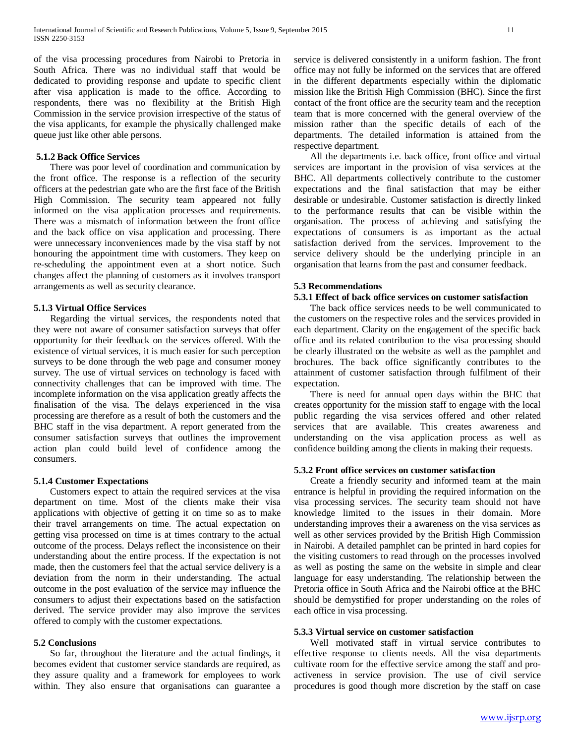of the visa processing procedures from Nairobi to Pretoria in South Africa. There was no individual staff that would be dedicated to providing response and update to specific client after visa application is made to the office. According to respondents, there was no flexibility at the British High Commission in the service provision irrespective of the status of the visa applicants, for example the physically challenged make queue just like other able persons.

# **5.1.2 Back Office Services**

 There was poor level of coordination and communication by the front office. The response is a reflection of the security officers at the pedestrian gate who are the first face of the British High Commission. The security team appeared not fully informed on the visa application processes and requirements. There was a mismatch of information between the front office and the back office on visa application and processing. There were unnecessary inconveniences made by the visa staff by not honouring the appointment time with customers. They keep on re-scheduling the appointment even at a short notice. Such changes affect the planning of customers as it involves transport arrangements as well as security clearance.

#### **5.1.3 Virtual Office Services**

 Regarding the virtual services, the respondents noted that they were not aware of consumer satisfaction surveys that offer opportunity for their feedback on the services offered. With the existence of virtual services, it is much easier for such perception surveys to be done through the web page and consumer money survey. The use of virtual services on technology is faced with connectivity challenges that can be improved with time. The incomplete information on the visa application greatly affects the finalisation of the visa. The delays experienced in the visa processing are therefore as a result of both the customers and the BHC staff in the visa department. A report generated from the consumer satisfaction surveys that outlines the improvement action plan could build level of confidence among the consumers.

#### **5.1.4 Customer Expectations**

 Customers expect to attain the required services at the visa department on time. Most of the clients make their visa applications with objective of getting it on time so as to make their travel arrangements on time. The actual expectation on getting visa processed on time is at times contrary to the actual outcome of the process. Delays reflect the inconsistence on their understanding about the entire process. If the expectation is not made, then the customers feel that the actual service delivery is a deviation from the norm in their understanding. The actual outcome in the post evaluation of the service may influence the consumers to adjust their expectations based on the satisfaction derived. The service provider may also improve the services offered to comply with the customer expectations.

# **5.2 Conclusions**

 So far, throughout the literature and the actual findings, it becomes evident that customer service standards are required, as they assure quality and a framework for employees to work within. They also ensure that organisations can guarantee a

service is delivered consistently in a uniform fashion. The front office may not fully be informed on the services that are offered in the different departments especially within the diplomatic mission like the British High Commission (BHC). Since the first contact of the front office are the security team and the reception team that is more concerned with the general overview of the mission rather than the specific details of each of the departments. The detailed information is attained from the respective department.

 All the departments i.e. back office, front office and virtual services are important in the provision of visa services at the BHC. All departments collectively contribute to the customer expectations and the final satisfaction that may be either desirable or undesirable. Customer satisfaction is directly linked to the performance results that can be visible within the organisation. The process of achieving and satisfying the expectations of consumers is as important as the actual satisfaction derived from the services. Improvement to the service delivery should be the underlying principle in an organisation that learns from the past and consumer feedback.

### **5.3 Recommendations**

#### **5.3.1 Effect of back office services on customer satisfaction**

 The back office services needs to be well communicated to the customers on the respective roles and the services provided in each department. Clarity on the engagement of the specific back office and its related contribution to the visa processing should be clearly illustrated on the website as well as the pamphlet and brochures. The back office significantly contributes to the attainment of customer satisfaction through fulfilment of their expectation.

 There is need for annual open days within the BHC that creates opportunity for the mission staff to engage with the local public regarding the visa services offered and other related services that are available. This creates awareness and understanding on the visa application process as well as confidence building among the clients in making their requests.

# **5.3.2 Front office services on customer satisfaction**

 Create a friendly security and informed team at the main entrance is helpful in providing the required information on the visa processing services. The security team should not have knowledge limited to the issues in their domain. More understanding improves their a awareness on the visa services as well as other services provided by the British High Commission in Nairobi. A detailed pamphlet can be printed in hard copies for the visiting customers to read through on the processes involved as well as posting the same on the website in simple and clear language for easy understanding. The relationship between the Pretoria office in South Africa and the Nairobi office at the BHC should be demystified for proper understanding on the roles of each office in visa processing.

### **5.3.3 Virtual service on customer satisfaction**

 Well motivated staff in virtual service contributes to effective response to clients needs. All the visa departments cultivate room for the effective service among the staff and proactiveness in service provision. The use of civil service procedures is good though more discretion by the staff on case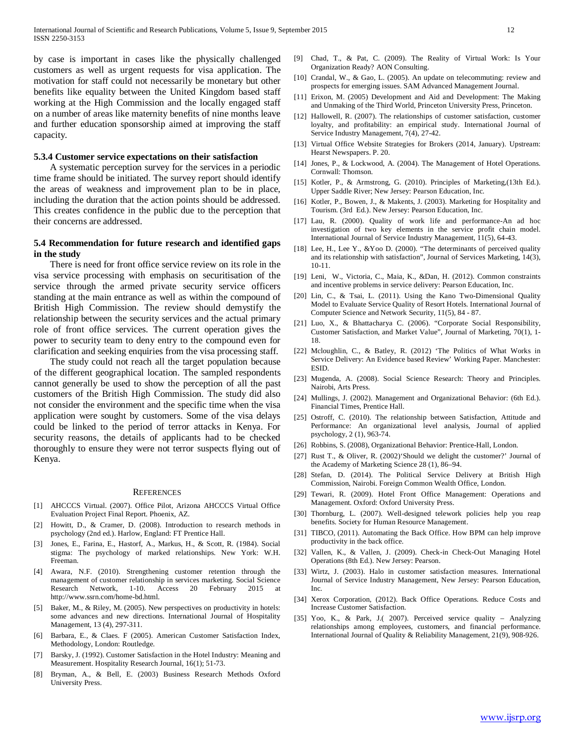by case is important in cases like the physically challenged customers as well as urgent requests for visa application. The motivation for staff could not necessarily be monetary but other benefits like equality between the United Kingdom based staff working at the High Commission and the locally engaged staff on a number of areas like maternity benefits of nine months leave and further education sponsorship aimed at improving the staff capacity.

# **5.3.4 Customer service expectations on their satisfaction**

 A systematic perception survey for the services in a periodic time frame should be initiated. The survey report should identify the areas of weakness and improvement plan to be in place, including the duration that the action points should be addressed. This creates confidence in the public due to the perception that their concerns are addressed.

# **5.4 Recommendation for future research and identified gaps in the study**

 There is need for front office service review on its role in the visa service processing with emphasis on securitisation of the service through the armed private security service officers standing at the main entrance as well as within the compound of British High Commission. The review should demystify the relationship between the security services and the actual primary role of front office services. The current operation gives the power to security team to deny entry to the compound even for clarification and seeking enquiries from the visa processing staff.

 The study could not reach all the target population because of the different geographical location. The sampled respondents cannot generally be used to show the perception of all the past customers of the British High Commission. The study did also not consider the environment and the specific time when the visa application were sought by customers. Some of the visa delays could be linked to the period of terror attacks in Kenya. For security reasons, the details of applicants had to be checked thoroughly to ensure they were not terror suspects flying out of Kenya.

#### **REFERENCES**

- [1] AHCCCS Virtual. (2007). Office Pilot, Arizona AHCCCS Virtual Office Evaluation Project Final Report. Phoenix, AZ.
- [2] Howitt, D., & Cramer, D. (2008). Introduction to research methods in psychology (2nd ed.). Harlow, England: FT Prentice Hall.
- [3] Jones, E., Farina, E., Hastorf, A., Markus, H., & Scott, R. (1984). Social stigma: The psychology of marked relationships. New York: W.H. Freeman.
- [4] Awara, N.F. (2010). Strengthening customer retention through the management of customer relationship in services marketing. Social Science Research Network, 1-10. Access 20 February 2015 http://www.ssrn.com/home-bd.html.
- [5] Baker, M., & Riley, M. (2005). New perspectives on productivity in hotels: some advances and new directions. International Journal of Hospitality Management, 13 (4), 297-311.
- [6] Barbara, E., & Claes. F (2005). American Customer Satisfaction Index, Methodology, London: Routledge.
- [7] Barsky, J. (1992). Customer Satisfaction in the Hotel Industry: Meaning and Measurement. Hospitality Research Journal, 16(1); 51-73.
- [8] Bryman, A., & Bell, E. (2003) Business Research Methods Oxford University Press.
- [9] Chad, T., & Pat, C. (2009). The Reality of Virtual Work: Is Your Organization Ready? AON Consulting.
- [10] Crandal, W., & Gao, L. (2005). An update on telecommuting: review and prospects for emerging issues. SAM Advanced Management Journal.
- [11] Erixon, M. (2005) Development and Aid and Development: The Making and Unmaking of the Third World, Princeton University Press, Princeton.
- [12] Hallowell, R. (2007). The relationships of customer satisfaction, customer loyalty, and profitability: an empirical study. International Journal of Service Industry Management, 7(4), 27-42.
- [13] Virtual Office Website Strategies for Brokers (2014, January). Upstream: Hearst Newspapers. P. 20.
- [14] Jones, P., & Lockwood, A. (2004). The Management of Hotel Operations. Cornwall: Thomson.
- [15] Kotler, P., & Armstrong, G. (2010). Principles of Marketing,(13th Ed.). Upper Saddle River; New Jersey: Pearson Education, Inc.
- [16] Kotler, P., Bowen, J., & Makents, J. (2003). Marketing for Hospitality and Tourism. (3rd Ed.). New Jersey: Pearson Education, Inc.
- [17] Lau, R. (2000). Quality of work life and performance-An ad hoc investigation of two key elements in the service profit chain model. International Journal of Service Industry Management, 11(5), 64-43.
- [18] Lee, H., Lee Y., &Yoo D. (2000). "The determinants of perceived quality and its relationship with satisfaction", Journal of Services Marketing, 14(3), 10-11.
- [19] Leni, W., Victoria, C., Maia, K., &Dan, H. (2012). Common constraints and incentive problems in service delivery: Pearson Education, Inc.
- [20] Lin, C., & Tsai, L. (2011). Using the Kano Two-Dimensional Quality Model to Evaluate Service Quality of Resort Hotels. International Journal of Computer Science and Network Security, 11(5), 84 - 87.
- [21] Luo, X., & Bhattacharya C. (2006). "Corporate Social Responsibility, Customer Satisfaction, and Market Value", Journal of Marketing, 70(1), 1- 18.
- [22] Mcloughlin, C., & Batley, R. (2012) 'The Politics of What Works in Service Delivery: An Evidence based Review' Working Paper. Manchester: ESID.
- [23] Mugenda, A. (2008). Social Science Research: Theory and Principles. Nairobi, Arts Press.
- [24] Mullings, J. (2002). Management and Organizational Behavior: (6th Ed.). Financial Times, Prentice Hall.
- [25] Ostroff, C. (2010). The relationship between Satisfaction, Attitude and Performance: An organizational level analysis, Journal of applied psychology, 2 (1), 963-74.
- [26] Robbins, S. (2008), Organizational Behavior: Prentice-Hall, London.
- [27] Rust T., & Oliver, R. (2002)'Should we delight the customer?' Journal of the Academy of Marketing Science 28 (1), 86–94.
- [28] Stefan, D. (2014). The Political Service Delivery at British High Commission, Nairobi. Foreign Common Wealth Office, London.
- [29] Tewari, R. (2009). Hotel Front Office Management: Operations and Management. Oxford: Oxford University Press.
- [30] Thornburg, L. (2007). Well-designed telework policies help you reap benefits. Society for Human Resource Management.
- [31] TIBCO, (2011). Automating the Back Office. How BPM can help improve productivity in the back office.
- [32] Vallen, K., & Vallen, J. (2009). Check-in Check-Out Managing Hotel Operations (8th Ed.). New Jersey: Pearson.
- [33] Wirtz, J. (2003). Halo in customer satisfaction measures. International Journal of Service Industry Management, New Jersey: Pearson Education, Inc.
- [34] Xerox Corporation, (2012). Back Office Operations. Reduce Costs and Increase Customer Satisfaction.
- [35] Yoo, K., & Park, J.( 2007). Perceived service quality Analyzing relationships among employees, customers, and financial performance. International Journal of Quality & Reliability Management, 21(9), 908-926.